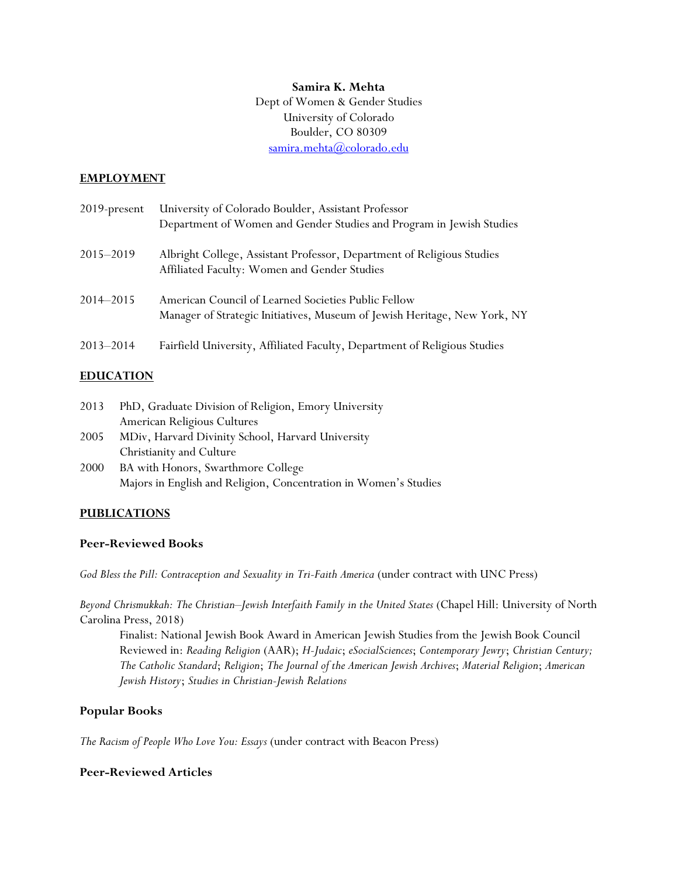### **Samira K. Mehta**

Dept of Women & Gender Studies University of Colorado Boulder, CO 80309 [samira.mehta@colorado.edu](mailto:samira.mehta@colorado.edu)

#### **EMPLOYMENT**

| 2019-present | University of Colorado Boulder, Assistant Professor<br>Department of Women and Gender Studies and Program in Jewish Studies      |
|--------------|----------------------------------------------------------------------------------------------------------------------------------|
| 2015–2019    | Albright College, Assistant Professor, Department of Religious Studies<br>Affiliated Faculty: Women and Gender Studies           |
| 2014-2015    | American Council of Learned Societies Public Fellow<br>Manager of Strategic Initiatives, Museum of Jewish Heritage, New York, NY |
| 2013-2014    | Fairfield University, Affiliated Faculty, Department of Religious Studies                                                        |

### **EDUCATION**

| PhD, Graduate Division of Religion, Emory University |
|------------------------------------------------------|
| American Religious Cultures                          |
| MDiv, Harvard Divinity School, Harvard University    |
| Christianity and Culture                             |
|                                                      |

2000 BA with Honors, Swarthmore College Majors in English and Religion, Concentration in Women's Studies

## **PUBLICATIONS**

### **Peer-Reviewed Books**

*God Bless the Pill: Contraception and Sexuality in Tri-Faith America* (under contract with UNC Press)

*Beyond Chrismukkah: The Christian–Jewish Interfaith Family in the United States* (Chapel Hill: University of North Carolina Press, 2018)

Finalist: National Jewish Book Award in American Jewish Studies from the Jewish Book Council Reviewed in: *Reading Religion* (AAR); *H-Judaic*; *eSocialSciences*; *Contemporary Jewry*; *Christian Century; The Catholic Standard*; *Religion*; *The Journal of the American Jewish Archives*; *Material Religion*; *American Jewish History*; *Studies in Christian-Jewish Relations*

### **Popular Books**

*The Racism of People Who Love You: Essays* (under contract with Beacon Press)

### **Peer-Reviewed Articles**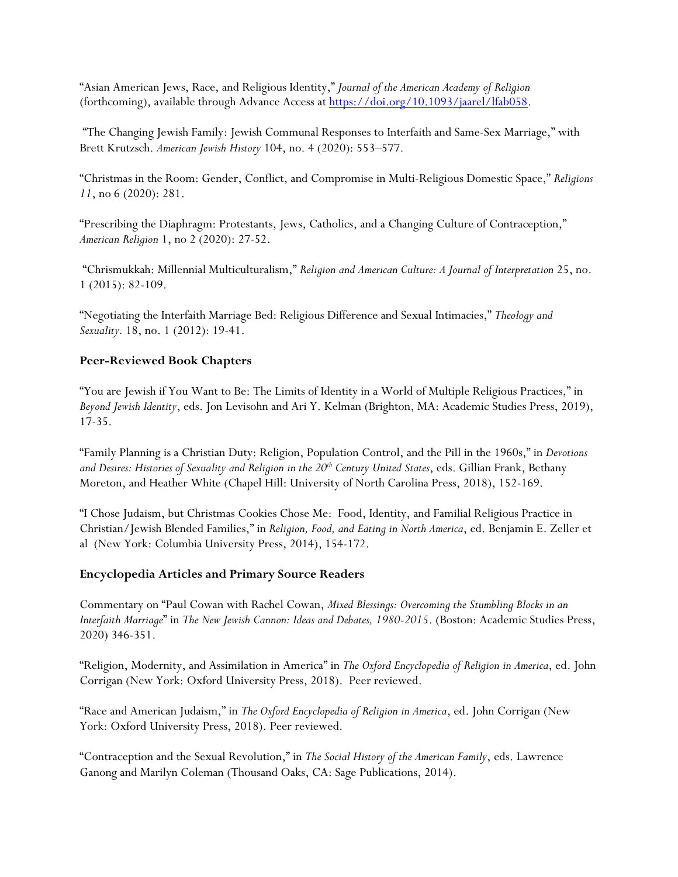"Asian American Jews, Race, and Religious Identity," *Journal of the American Academy of Religion* (forthcoming), available through Advance Access at [https://doi.org/10.1093/jaarel/lfab058.](https://doi.org/10.1093/jaarel/lfab058?fbclid=IwAR2l7i-g6u42SQjdxvwPgX75aZO0helOj4m5pC0zgu4KZcq1cDbjAVAPY04)

"The Changing Jewish Family: Jewish Communal Responses to Interfaith and Same-Sex Marriage," with Brett Krutzsch. *American Jewish History* 104, no. 4 (2020): 553–577.

"Christmas in the Room: Gender, Conflict, and Compromise in Multi-Religious Domestic Space," *Religions 11*, no 6 (2020): 281.

"Prescribing the Diaphragm: Protestants, Jews, Catholics, and a Changing Culture of Contraception," *American Religion* 1, no 2 (2020): 27-52.

"Chrismukkah: Millennial Multiculturalism," *Religion and American Culture: A Journal of Interpretation* 25, no. 1 (2015): 82-109.

"Negotiating the Interfaith Marriage Bed: Religious Difference and Sexual Intimacies," *Theology and Sexuality.* 18, no. 1 (2012): 19-41.

## **Peer-Reviewed Book Chapters**

"You are Jewish if You Want to Be: The Limits of Identity in a World of Multiple Religious Practices," in *Beyond Jewish Identity*, eds. Jon Levisohn and Ari Y. Kelman (Brighton, MA: Academic Studies Press, 2019), 17-35.

"Family Planning is a Christian Duty: Religion, Population Control, and the Pill in the 1960s," in *Devotions*  and Desires: Histories of Sexuality and Religion in the 20<sup>th</sup> Century United States, eds. Gillian Frank, Bethany Moreton, and Heather White (Chapel Hill: University of North Carolina Press, 2018), 152-169.

"I Chose Judaism, but Christmas Cookies Chose Me: Food, Identity, and Familial Religious Practice in Christian/Jewish Blended Families," in *Religion, Food, and Eating in North America*, ed. Benjamin E. Zeller et al (New York: Columbia University Press, 2014), 154-172.

## **Encyclopedia Articles and Primary Source Readers**

Commentary on "Paul Cowan with Rachel Cowan, *Mixed Blessings: Overcoming the Stumbling Blocks in an Interfaith Marriage*" in *The New Jewish Cannon: Ideas and Debates, 1980-2015*. (Boston: Academic Studies Press, 2020) 346-351.

"Religion, Modernity, and Assimilation in America" in *The Oxford Encyclopedia of Religion in America*, ed. John Corrigan (New York: Oxford University Press, 2018). Peer reviewed.

"Race and American Judaism," in *The Oxford Encyclopedia of Religion in America*, ed. John Corrigan (New York: Oxford University Press, 2018). Peer reviewed.

"Contraception and the Sexual Revolution," in *The Social History of the American Family*, eds. Lawrence Ganong and Marilyn Coleman (Thousand Oaks, CA: Sage Publications, 2014).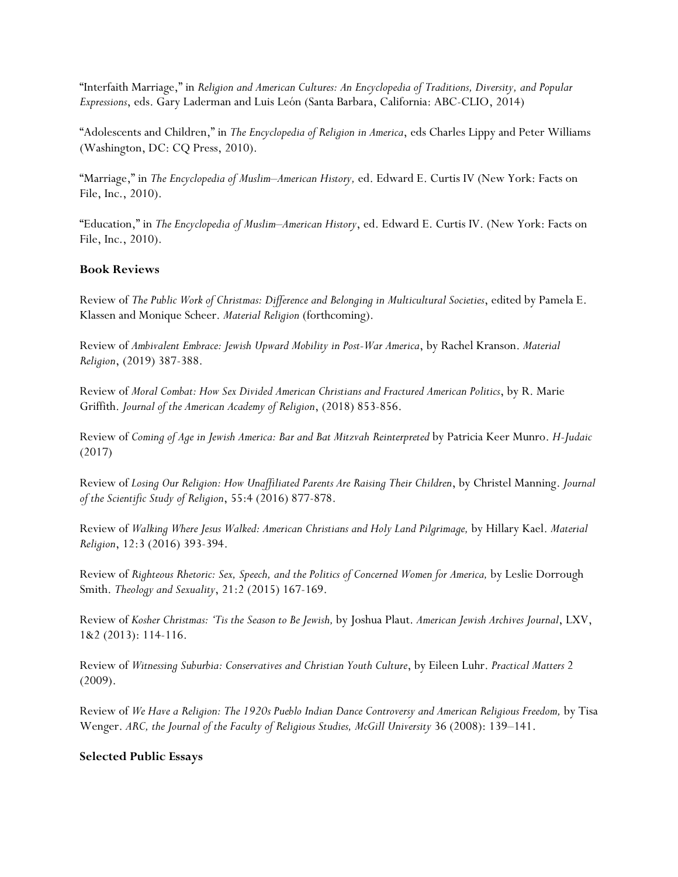"Interfaith Marriage," in *Religion and American Cultures: An Encyclopedia of Traditions, Diversity, and Popular Expressions*, eds. Gary Laderman and Luis León (Santa Barbara, California: ABC-CLIO, 2014)

"Adolescents and Children," in *The Encyclopedia of Religion in America*, eds Charles Lippy and Peter Williams (Washington, DC: CQ Press, 2010).

"Marriage," in *The Encyclopedia of Muslim–American History,* ed. Edward E. Curtis IV (New York: Facts on File, Inc., 2010).

"Education," in *The Encyclopedia of Muslim–American History*, ed. Edward E. Curtis IV. (New York: Facts on File, Inc., 2010).

## **Book Reviews**

Review of *The Public Work of Christmas: Difference and Belonging in Multicultural Societies*, edited by Pamela E. Klassen and Monique Scheer. *Material Religion* (forthcoming).

Review of *Ambivalent Embrace: Jewish Upward Mobility in Post-War America*, by Rachel Kranson. *Material Religion*, (2019) 387-388.

Review of *Moral Combat: How Sex Divided American Christians and Fractured American Politics*, by R. Marie Griffith. *Journal of the American Academy of Religion*, (2018) 853-856.

Review of *Coming of Age in Jewish America: Bar and Bat Mitzvah Reinterpreted* by Patricia Keer Munro. *H-Judaic* (2017)

Review of *Losing Our Religion: How Unaffiliated Parents Are Raising Their Children*, by Christel Manning. *Journal of the Scientific Study of Religion*, 55:4 (2016) 877-878.

Review of *Walking Where Jesus Walked: American Christians and Holy Land Pilgrimage,* by Hillary Kael. *Material Religion*, 12:3 (2016) 393-394.

Review of *Righteous Rhetoric: Sex, Speech, and the Politics of Concerned Women for America,* by Leslie Dorrough Smith. *Theology and Sexuality*, 21:2 (2015) 167-169.

Review of *Kosher Christmas: 'Tis the Season to Be Jewish,* by Joshua Plaut. *American Jewish Archives Journal*, LXV, 1&2 (2013): 114-116.

Review of *Witnessing Suburbia: Conservatives and Christian Youth Culture*, by Eileen Luhr. *Practical Matters* 2 (2009).

Review of *We Have a Religion: The 1920s Pueblo Indian Dance Controversy and American Religious Freedom,* by Tisa Wenger. *ARC, the Journal of the Faculty of Religious Studies, McGill University* 36 (2008): 139–141.

### **Selected Public Essays**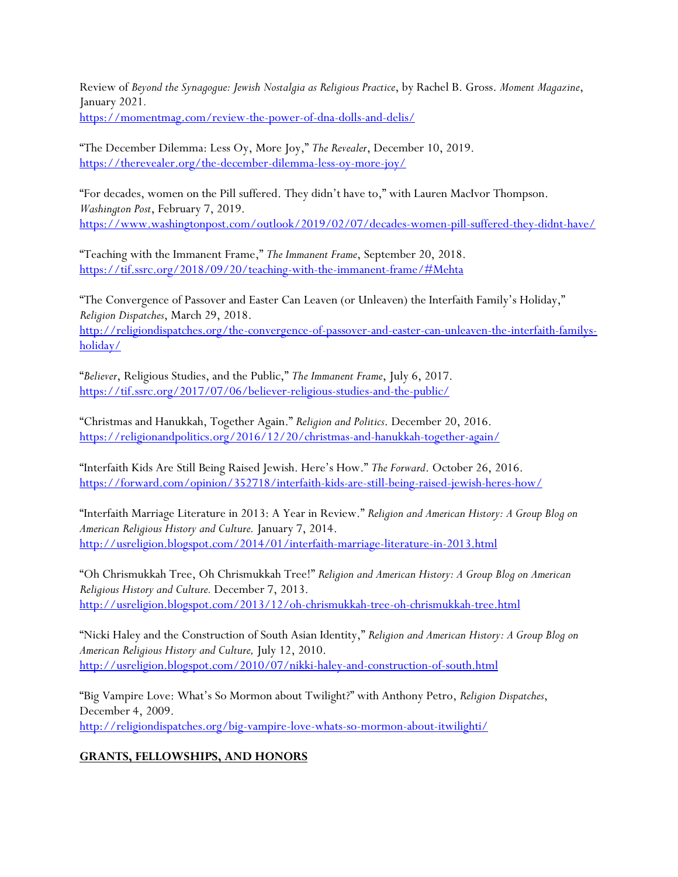Review of *Beyond the Synagogue: Jewish Nostalgia as Religious Practice*, by Rachel B. Gross. *Moment Magazine*, January 2021*.*

<https://momentmag.com/review-the-power-of-dna-dolls-and-delis/>

"The December Dilemma: Less Oy, More Joy," *The Revealer*, December 10, 2019. <https://therevealer.org/the-december-dilemma-less-oy-more-joy/>

"For decades, women on the Pill suffered. They didn't have to," with Lauren MacIvor Thompson. *Washington Post*, February 7, 2019. <https://www.washingtonpost.com/outlook/2019/02/07/decades-women-pill-suffered-they-didnt-have/>

"Teaching with the Immanent Frame," *The Immanent Frame*, September 20, 2018. <https://tif.ssrc.org/2018/09/20/teaching-with-the-immanent-frame/#Mehta>

"The Convergence of Passover and Easter Can Leaven (or Unleaven) the Interfaith Family's Holiday," *Religion Dispatches*, March 29, 2018. [http://religiondispatches.org/the-convergence-of-passover-and-easter-can-unleaven-the-interfaith-familys](http://religiondispatches.org/the-convergence-of-passover-and-easter-can-unleaven-the-interfaith-familys-holiday/)[holiday/](http://religiondispatches.org/the-convergence-of-passover-and-easter-can-unleaven-the-interfaith-familys-holiday/)

"*Believer*, Religious Studies, and the Public," *The Immanent Frame*, July 6, 2017. <https://tif.ssrc.org/2017/07/06/believer-religious-studies-and-the-public/>

"Christmas and Hanukkah, Together Again." *Religion and Politics*. December 20, 2016. <https://religionandpolitics.org/2016/12/20/christmas-and-hanukkah-together-again/>

"Interfaith Kids Are Still Being Raised Jewish. Here's How." *The Forward*. October 26, 2016. <https://forward.com/opinion/352718/interfaith-kids-are-still-being-raised-jewish-heres-how/>

"Interfaith Marriage Literature in 2013: A Year in Review." *Religion and American History: A Group Blog on American Religious History and Culture.* January 7, 2014. <http://usreligion.blogspot.com/2014/01/interfaith-marriage-literature-in-2013.html>

"Oh Chrismukkah Tree, Oh Chrismukkah Tree!" *Religion and American History: A Group Blog on American Religious History and Culture.* December 7, 2013. <http://usreligion.blogspot.com/2013/12/oh-chrismukkah-tree-oh-chrismukkah-tree.html>

"Nicki Haley and the Construction of South Asian Identity," *Religion and American History: A Group Blog on American Religious History and Culture,* July 12, 2010. <http://usreligion.blogspot.com/2010/07/nikki-haley-and-construction-of-south.html>

"Big Vampire Love: What's So Mormon about Twilight?" with Anthony Petro, *Religion Dispatches*, December 4, 2009. <http://religiondispatches.org/big-vampire-love-whats-so-mormon-about-itwilighti/>

## **GRANTS, FELLOWSHIPS, AND HONORS**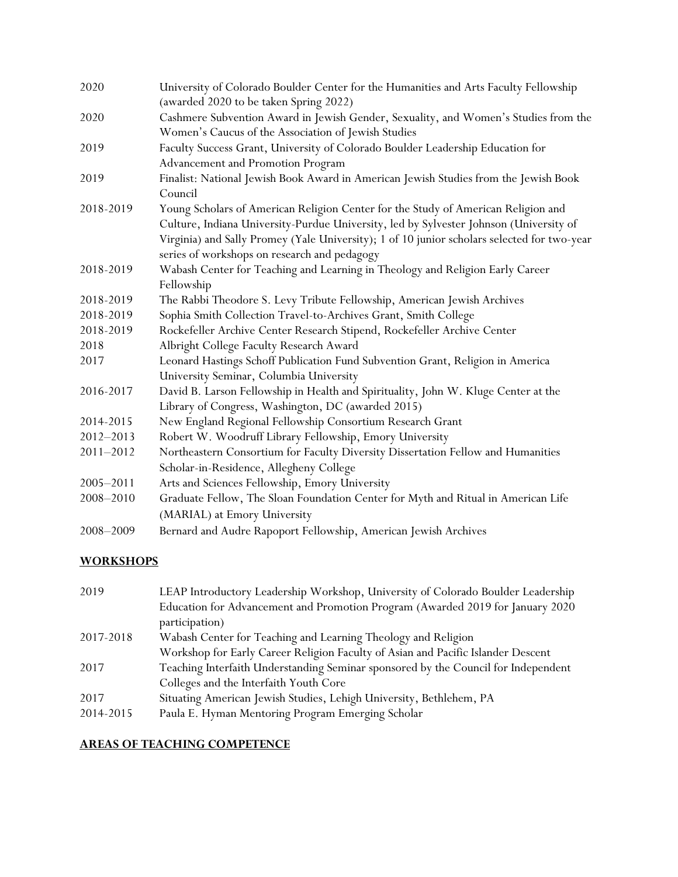| 2020          | University of Colorado Boulder Center for the Humanities and Arts Faculty Fellowship<br>(awarded 2020 to be taken Spring 2022)        |
|---------------|---------------------------------------------------------------------------------------------------------------------------------------|
| 2020          | Cashmere Subvention Award in Jewish Gender, Sexuality, and Women's Studies from the                                                   |
| 2019          | Women's Caucus of the Association of Jewish Studies<br>Faculty Success Grant, University of Colorado Boulder Leadership Education for |
|               | Advancement and Promotion Program                                                                                                     |
| 2019          | Finalist: National Jewish Book Award in American Jewish Studies from the Jewish Book                                                  |
|               | Council                                                                                                                               |
| 2018-2019     | Young Scholars of American Religion Center for the Study of American Religion and                                                     |
|               | Culture, Indiana University-Purdue University, led by Sylvester Johnson (University of                                                |
|               | Virginia) and Sally Promey (Yale University); 1 of 10 junior scholars selected for two-year                                           |
|               | series of workshops on research and pedagogy                                                                                          |
| 2018-2019     | Wabash Center for Teaching and Learning in Theology and Religion Early Career                                                         |
|               | Fellowship                                                                                                                            |
| 2018-2019     | The Rabbi Theodore S. Levy Tribute Fellowship, American Jewish Archives                                                               |
| 2018-2019     | Sophia Smith Collection Travel-to-Archives Grant, Smith College                                                                       |
| 2018-2019     | Rockefeller Archive Center Research Stipend, Rockefeller Archive Center                                                               |
| 2018          | Albright College Faculty Research Award                                                                                               |
| 2017          | Leonard Hastings Schoff Publication Fund Subvention Grant, Religion in America                                                        |
|               | University Seminar, Columbia University                                                                                               |
| 2016-2017     | David B. Larson Fellowship in Health and Spirituality, John W. Kluge Center at the                                                    |
|               | Library of Congress, Washington, DC (awarded 2015)                                                                                    |
| 2014-2015     | New England Regional Fellowship Consortium Research Grant                                                                             |
| 2012-2013     | Robert W. Woodruff Library Fellowship, Emory University                                                                               |
| $2011 - 2012$ | Northeastern Consortium for Faculty Diversity Dissertation Fellow and Humanities                                                      |
|               | Scholar-in-Residence, Allegheny College                                                                                               |
| 2005-2011     | Arts and Sciences Fellowship, Emory University                                                                                        |
| 2008-2010     | Graduate Fellow, The Sloan Foundation Center for Myth and Ritual in American Life                                                     |
|               | (MARIAL) at Emory University                                                                                                          |
| 2008-2009     | Bernard and Audre Rapoport Fellowship, American Jewish Archives                                                                       |

# **WORKSHOPS**

| 2019      | LEAP Introductory Leadership Workshop, University of Colorado Boulder Leadership   |
|-----------|------------------------------------------------------------------------------------|
|           | Education for Advancement and Promotion Program (Awarded 2019 for January 2020     |
|           | participation)                                                                     |
| 2017-2018 | Wabash Center for Teaching and Learning Theology and Religion                      |
|           | Workshop for Early Career Religion Faculty of Asian and Pacific Islander Descent   |
| 2017      | Teaching Interfaith Understanding Seminar sponsored by the Council for Independent |
|           | Colleges and the Interfaith Youth Core                                             |
| 2017      | Situating American Jewish Studies, Lehigh University, Bethlehem, PA                |
| 2014-2015 | Paula E. Hyman Mentoring Program Emerging Scholar                                  |

## **AREAS OF TEACHING COMPETENCE**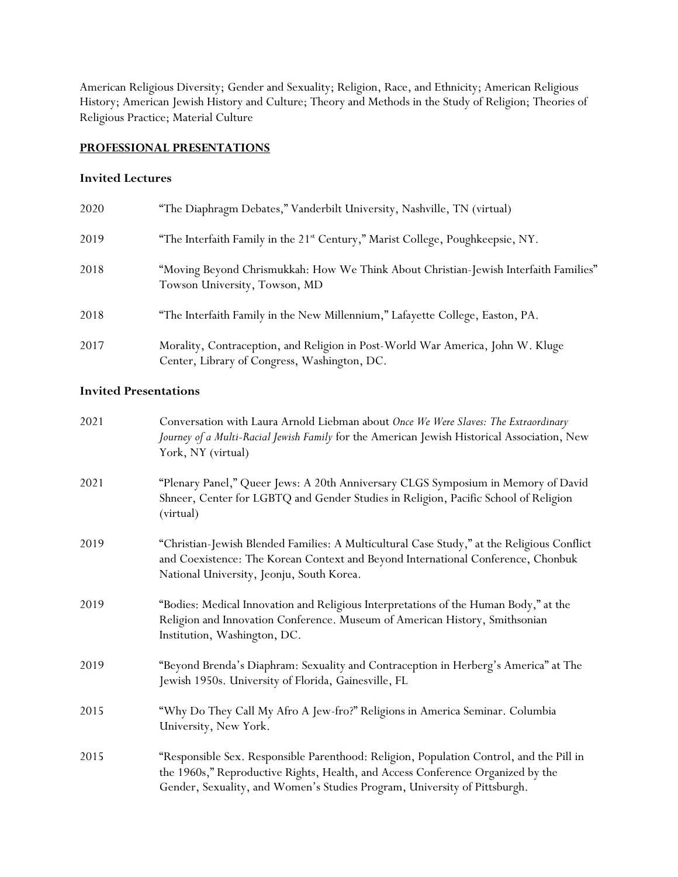American Religious Diversity; Gender and Sexuality; Religion, Race, and Ethnicity; American Religious History; American Jewish History and Culture; Theory and Methods in the Study of Religion; Theories of Religious Practice; Material Culture

## **PROFESSIONAL PRESENTATIONS**

## **Invited Lectures**

| 2020 | "The Diaphragm Debates," Vanderbilt University, Nashville, TN (virtual)                                                        |
|------|--------------------------------------------------------------------------------------------------------------------------------|
| 2019 | "The Interfaith Family in the 21 <sup>st</sup> Century," Marist College, Poughkeepsie, NY.                                     |
| 2018 | "Moving Beyond Chrismukkah: How We Think About Christian-Jewish Interfaith Families"<br>Towson University, Towson, MD          |
| 2018 | "The Interfaith Family in the New Millennium," Lafayette College, Easton, PA.                                                  |
| 2017 | Morality, Contraception, and Religion in Post-World War America, John W. Kluge<br>Center, Library of Congress, Washington, DC. |

## **Invited Presentations**

| 2021 | Conversation with Laura Arnold Liebman about Once We Were Slaves: The Extraordinary<br>Journey of a Multi-Racial Jewish Family for the American Jewish Historical Association, New<br>York, NY (virtual)                                                |
|------|---------------------------------------------------------------------------------------------------------------------------------------------------------------------------------------------------------------------------------------------------------|
| 2021 | "Plenary Panel," Queer Jews: A 20th Anniversary CLGS Symposium in Memory of David<br>Shneer, Center for LGBTQ and Gender Studies in Religion, Pacific School of Religion<br>(virtual)                                                                   |
| 2019 | "Christian-Jewish Blended Families: A Multicultural Case Study," at the Religious Conflict<br>and Coexistence: The Korean Context and Beyond International Conference, Chonbuk<br>National University, Jeonju, South Korea.                             |
| 2019 | "Bodies: Medical Innovation and Religious Interpretations of the Human Body," at the<br>Religion and Innovation Conference. Museum of American History, Smithsonian<br>Institution, Washington, DC.                                                     |
| 2019 | "Beyond Brenda's Diaphram: Sexuality and Contraception in Herberg's America" at The<br>Jewish 1950s. University of Florida, Gainesville, FL                                                                                                             |
| 2015 | "Why Do They Call My Afro A Jew-fro?" Religions in America Seminar. Columbia<br>University, New York.                                                                                                                                                   |
| 2015 | "Responsible Sex. Responsible Parenthood: Religion, Population Control, and the Pill in<br>the 1960s," Reproductive Rights, Health, and Access Conference Organized by the<br>Gender, Sexuality, and Women's Studies Program, University of Pittsburgh. |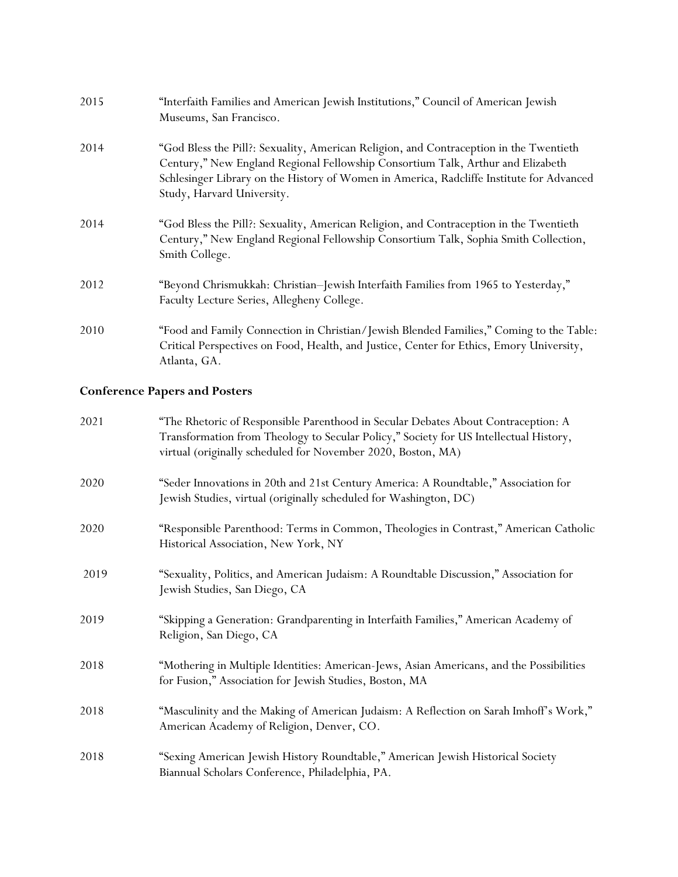| 2015 | "Interfaith Families and American Jewish Institutions," Council of American Jewish<br>Museums, San Francisco.                                                                                                                                                                                       |
|------|-----------------------------------------------------------------------------------------------------------------------------------------------------------------------------------------------------------------------------------------------------------------------------------------------------|
| 2014 | "God Bless the Pill?: Sexuality, American Religion, and Contraception in the Twentieth<br>Century," New England Regional Fellowship Consortium Talk, Arthur and Elizabeth<br>Schlesinger Library on the History of Women in America, Radcliffe Institute for Advanced<br>Study, Harvard University. |
| 2014 | "God Bless the Pill?: Sexuality, American Religion, and Contraception in the Twentieth<br>Century," New England Regional Fellowship Consortium Talk, Sophia Smith Collection,<br>Smith College.                                                                                                     |
| 2012 | "Beyond Chrismukkah: Christian-Jewish Interfaith Families from 1965 to Yesterday,"<br>Faculty Lecture Series, Allegheny College.                                                                                                                                                                    |
| 2010 | "Food and Family Connection in Christian/Jewish Blended Families," Coming to the Table:<br>Critical Perspectives on Food, Health, and Justice, Center for Ethics, Emory University,<br>Atlanta, GA.                                                                                                 |

# **Conference Papers and Posters**

| 2021 | "The Rhetoric of Responsible Parenthood in Secular Debates About Contraception: A<br>Transformation from Theology to Secular Policy," Society for US Intellectual History,<br>virtual (originally scheduled for November 2020, Boston, MA) |
|------|--------------------------------------------------------------------------------------------------------------------------------------------------------------------------------------------------------------------------------------------|
| 2020 | "Seder Innovations in 20th and 21st Century America: A Roundtable," Association for<br>Jewish Studies, virtual (originally scheduled for Washington, DC)                                                                                   |
| 2020 | "Responsible Parenthood: Terms in Common, Theologies in Contrast," American Catholic<br>Historical Association, New York, NY                                                                                                               |
| 2019 | "Sexuality, Politics, and American Judaism: A Roundtable Discussion," Association for<br>Jewish Studies, San Diego, CA                                                                                                                     |
| 2019 | "Skipping a Generation: Grandparenting in Interfaith Families," American Academy of<br>Religion, San Diego, CA                                                                                                                             |
| 2018 | "Mothering in Multiple Identities: American-Jews, Asian Americans, and the Possibilities<br>for Fusion," Association for Jewish Studies, Boston, MA                                                                                        |
| 2018 | "Masculinity and the Making of American Judaism: A Reflection on Sarah Imhoff's Work,"<br>American Academy of Religion, Denver, CO.                                                                                                        |
| 2018 | "Sexing American Jewish History Roundtable," American Jewish Historical Society<br>Biannual Scholars Conference, Philadelphia, PA.                                                                                                         |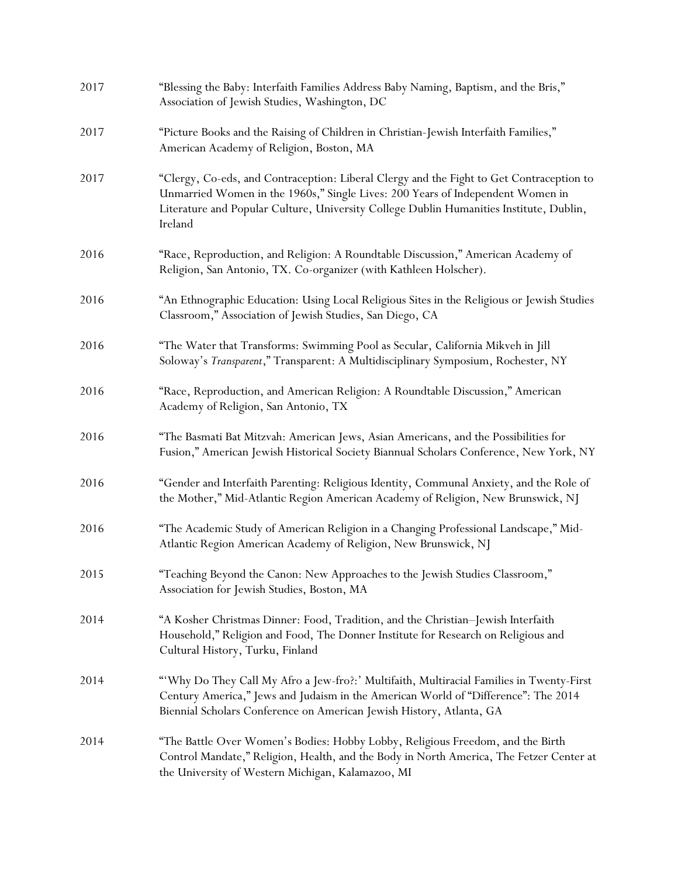| 2017 | "Blessing the Baby: Interfaith Families Address Baby Naming, Baptism, and the Bris,"<br>Association of Jewish Studies, Washington, DC                                                                                                                                            |
|------|----------------------------------------------------------------------------------------------------------------------------------------------------------------------------------------------------------------------------------------------------------------------------------|
| 2017 | "Picture Books and the Raising of Children in Christian-Jewish Interfaith Families,"<br>American Academy of Religion, Boston, MA                                                                                                                                                 |
| 2017 | "Clergy, Co-eds, and Contraception: Liberal Clergy and the Fight to Get Contraception to<br>Unmarried Women in the 1960s," Single Lives: 200 Years of Independent Women in<br>Literature and Popular Culture, University College Dublin Humanities Institute, Dublin,<br>Ireland |
| 2016 | "Race, Reproduction, and Religion: A Roundtable Discussion," American Academy of<br>Religion, San Antonio, TX. Co-organizer (with Kathleen Holscher).                                                                                                                            |
| 2016 | "An Ethnographic Education: Using Local Religious Sites in the Religious or Jewish Studies<br>Classroom," Association of Jewish Studies, San Diego, CA                                                                                                                           |
| 2016 | "The Water that Transforms: Swimming Pool as Secular, California Mikveh in Jill<br>Soloway's Transparent," Transparent: A Multidisciplinary Symposium, Rochester, NY                                                                                                             |
| 2016 | "Race, Reproduction, and American Religion: A Roundtable Discussion," American<br>Academy of Religion, San Antonio, TX                                                                                                                                                           |
| 2016 | "The Basmati Bat Mitzvah: American Jews, Asian Americans, and the Possibilities for<br>Fusion," American Jewish Historical Society Biannual Scholars Conference, New York, NY                                                                                                    |
| 2016 | "Gender and Interfaith Parenting: Religious Identity, Communal Anxiety, and the Role of<br>the Mother," Mid-Atlantic Region American Academy of Religion, New Brunswick, NJ                                                                                                      |
| 2016 | "The Academic Study of American Religion in a Changing Professional Landscape," Mid-<br>Atlantic Region American Academy of Religion, New Brunswick, NJ                                                                                                                          |
| 2015 | "Teaching Beyond the Canon: New Approaches to the Jewish Studies Classroom,"<br>Association for Jewish Studies, Boston, MA                                                                                                                                                       |
| 2014 | "A Kosher Christmas Dinner: Food, Tradition, and the Christian-Jewish Interfaith<br>Household," Religion and Food, The Donner Institute for Research on Religious and<br>Cultural History, Turku, Finland                                                                        |
| 2014 | "Why Do They Call My Afro a Jew-fro?:' Multifaith, Multiracial Families in Twenty-First<br>Century America," Jews and Judaism in the American World of "Difference": The 2014<br>Biennial Scholars Conference on American Jewish History, Atlanta, GA                            |
| 2014 | "The Battle Over Women's Bodies: Hobby Lobby, Religious Freedom, and the Birth<br>Control Mandate," Religion, Health, and the Body in North America, The Fetzer Center at<br>the University of Western Michigan, Kalamazoo, MI                                                   |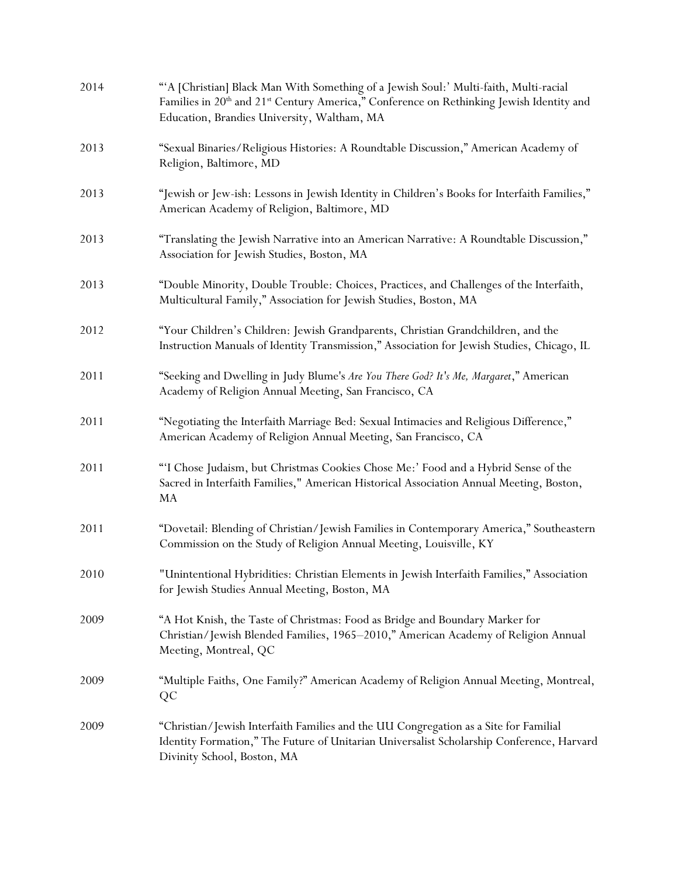| 2014 | "A [Christian] Black Man With Something of a Jewish Soul:' Multi-faith, Multi-racial<br>Families in 20 <sup>th</sup> and 21 <sup>st</sup> Century America," Conference on Rethinking Jewish Identity and<br>Education, Brandies University, Waltham, MA |
|------|---------------------------------------------------------------------------------------------------------------------------------------------------------------------------------------------------------------------------------------------------------|
| 2013 | "Sexual Binaries/Religious Histories: A Roundtable Discussion," American Academy of<br>Religion, Baltimore, MD                                                                                                                                          |
| 2013 | "Jewish or Jew-ish: Lessons in Jewish Identity in Children's Books for Interfaith Families,"<br>American Academy of Religion, Baltimore, MD                                                                                                             |
| 2013 | "Translating the Jewish Narrative into an American Narrative: A Roundtable Discussion,"<br>Association for Jewish Studies, Boston, MA                                                                                                                   |
| 2013 | "Double Minority, Double Trouble: Choices, Practices, and Challenges of the Interfaith,<br>Multicultural Family," Association for Jewish Studies, Boston, MA                                                                                            |
| 2012 | "Your Children's Children: Jewish Grandparents, Christian Grandchildren, and the<br>Instruction Manuals of Identity Transmission," Association for Jewish Studies, Chicago, IL                                                                          |
| 2011 | "Seeking and Dwelling in Judy Blume's Are You There God? It's Me, Margaret," American<br>Academy of Religion Annual Meeting, San Francisco, CA                                                                                                          |
| 2011 | "Negotiating the Interfaith Marriage Bed: Sexual Intimacies and Religious Difference,"<br>American Academy of Religion Annual Meeting, San Francisco, CA                                                                                                |
| 2011 | "I Chose Judaism, but Christmas Cookies Chose Me:' Food and a Hybrid Sense of the<br>Sacred in Interfaith Families," American Historical Association Annual Meeting, Boston,<br>MA                                                                      |
| 2011 | "Dovetail: Blending of Christian/Jewish Families in Contemporary America," Southeastern<br>Commission on the Study of Religion Annual Meeting, Louisville, KY                                                                                           |
| 2010 | "Unintentional Hybridities: Christian Elements in Jewish Interfaith Families," Association<br>for Jewish Studies Annual Meeting, Boston, MA                                                                                                             |
| 2009 | "A Hot Knish, the Taste of Christmas: Food as Bridge and Boundary Marker for<br>Christian/Jewish Blended Families, 1965-2010," American Academy of Religion Annual<br>Meeting, Montreal, QC                                                             |
| 2009 | "Multiple Faiths, One Family?" American Academy of Religion Annual Meeting, Montreal,<br>QC                                                                                                                                                             |
| 2009 | "Christian/Jewish Interfaith Families and the UU Congregation as a Site for Familial<br>Identity Formation," The Future of Unitarian Universalist Scholarship Conference, Harvard<br>Divinity School, Boston, MA                                        |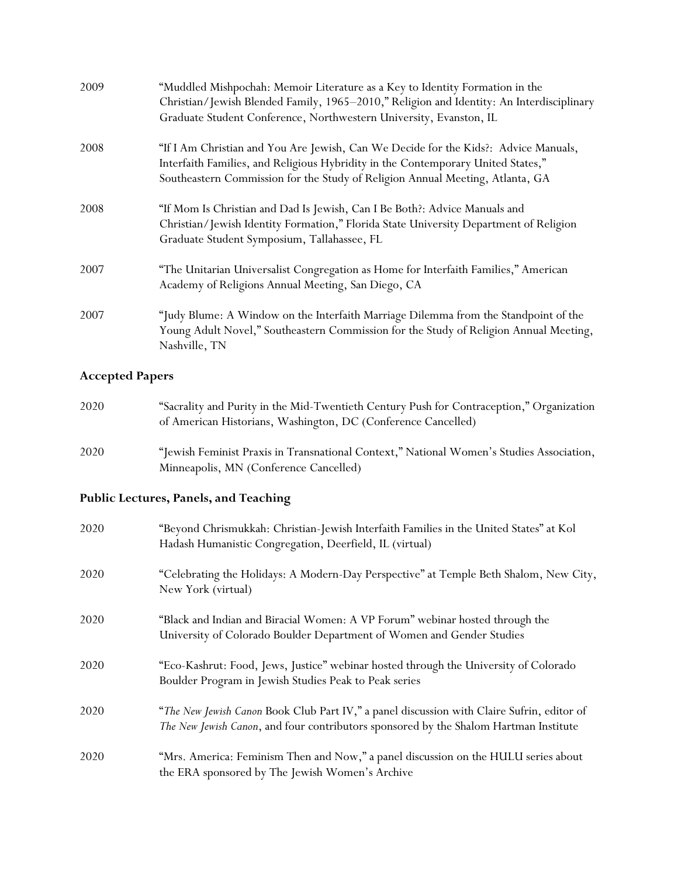| 2009 | "Muddled Mishpochah: Memoir Literature as a Key to Identity Formation in the<br>Christian/Jewish Blended Family, 1965-2010," Religion and Identity: An Interdisciplinary<br>Graduate Student Conference, Northwestern University, Evanston, IL           |
|------|----------------------------------------------------------------------------------------------------------------------------------------------------------------------------------------------------------------------------------------------------------|
| 2008 | "If I Am Christian and You Are Jewish, Can We Decide for the Kids?: Advice Manuals,<br>Interfaith Families, and Religious Hybridity in the Contemporary United States,"<br>Southeastern Commission for the Study of Religion Annual Meeting, Atlanta, GA |
| 2008 | "If Mom Is Christian and Dad Is Jewish, Can I Be Both?: Advice Manuals and<br>Christian/Jewish Identity Formation," Florida State University Department of Religion<br>Graduate Student Symposium, Tallahassee, FL                                       |
| 2007 | "The Unitarian Universalist Congregation as Home for Interfaith Families," American<br>Academy of Religions Annual Meeting, San Diego, CA                                                                                                                |
| 2007 | "Judy Blume: A Window on the Interfaith Marriage Dilemma from the Standpoint of the<br>Young Adult Novel," Southeastern Commission for the Study of Religion Annual Meeting,<br>Nashville, TN                                                            |

# **Accepted Papers**

| 2020 | "Sacrality and Purity in the Mid-Twentieth Century Push for Contraception," Organization |
|------|------------------------------------------------------------------------------------------|
|      | of American Historians, Washington, DC (Conference Cancelled)                            |

2020 "Jewish Feminist Praxis in Transnational Context," National Women's Studies Association, Minneapolis, MN (Conference Cancelled)

## **Public Lectures, Panels, and Teaching**

| 2020 | "Beyond Chrismukkah: Christian-Jewish Interfaith Families in the United States" at Kol<br>Hadash Humanistic Congregation, Deerfield, IL (virtual)                                   |
|------|-------------------------------------------------------------------------------------------------------------------------------------------------------------------------------------|
| 2020 | "Celebrating the Holidays: A Modern-Day Perspective" at Temple Beth Shalom, New City,<br>New York (virtual)                                                                         |
| 2020 | "Black and Indian and Biracial Women: A VP Forum" webinar hosted through the<br>University of Colorado Boulder Department of Women and Gender Studies                               |
| 2020 | "Eco-Kashrut: Food, Jews, Justice" webinar hosted through the University of Colorado<br>Boulder Program in Jewish Studies Peak to Peak series                                       |
| 2020 | "The New Jewish Canon Book Club Part IV," a panel discussion with Claire Sufrin, editor of<br>The New Jewish Canon, and four contributors sponsored by the Shalom Hartman Institute |
| 2020 | "Mrs. America: Feminism Then and Now," a panel discussion on the HULU series about<br>the ERA sponsored by The Jewish Women's Archive                                               |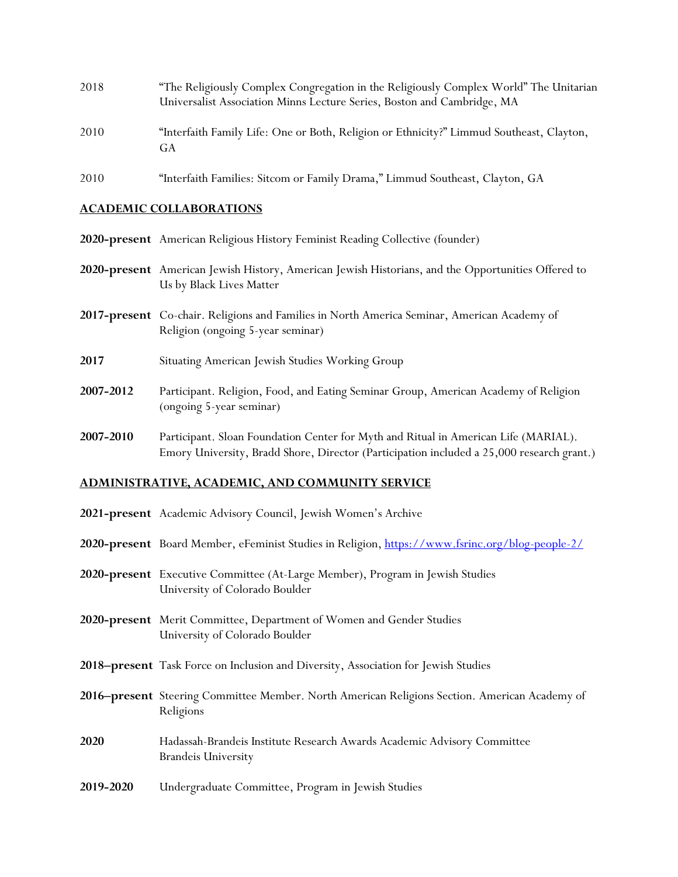| 2018 | "The Religiously Complex Congregation in the Religiously Complex World" The Unitarian<br>Universalist Association Minns Lecture Series, Boston and Cambridge, MA |
|------|------------------------------------------------------------------------------------------------------------------------------------------------------------------|
|      |                                                                                                                                                                  |
| 2010 | "Interfaith Family Life: One or Both, Religion or Ethnicity?" Limmud Southeast, Clayton,<br>GA                                                                   |
| 2010 | "Interfaith Families: Sitcom or Family Drama," Limmud Southeast, Clayton, GA                                                                                     |

### **ACADEMIC COLLABORATIONS**

- **2020-present** American Religious History Feminist Reading Collective (founder)
- **2020-present** American Jewish History, American Jewish Historians, and the Opportunities Offered to Us by Black Lives Matter
- **2017-present** Co-chair. Religions and Families in North America Seminar, American Academy of Religion (ongoing 5-year seminar)
- **2017** Situating American Jewish Studies Working Group
- **2007-2012** Participant. Religion, Food, and Eating Seminar Group, American Academy of Religion (ongoing 5-year seminar)
- **2007-2010** Participant. Sloan Foundation Center for Myth and Ritual in American Life (MARIAL). Emory University, Bradd Shore, Director (Participation included a 25,000 research grant.)

### **ADMINISTRATIVE, ACADEMIC, AND COMMUNITY SERVICE**

|           | 2021-present Academic Advisory Council, Jewish Women's Archive                                                  |
|-----------|-----------------------------------------------------------------------------------------------------------------|
|           | 2 <b>020-present</b> Board Member, eFeminist Studies in Religion, <u>https://www.fsrinc.org/blog-people-2/</u>  |
|           | 2020-present Executive Committee (At-Large Member), Program in Jewish Studies<br>University of Colorado Boulder |
|           | 2020-present Merit Committee, Department of Women and Gender Studies<br>University of Colorado Boulder          |
|           | 2018–present Task Force on Inclusion and Diversity, Association for Jewish Studies                              |
|           | 2016–present Steering Committee Member. North American Religions Section. American Academy of<br>Religions      |
| 2020      | Hadassah-Brandeis Institute Research Awards Academic Advisory Committee<br><b>Brandeis University</b>           |
| 2019-2020 | Undergraduate Committee, Program in Jewish Studies                                                              |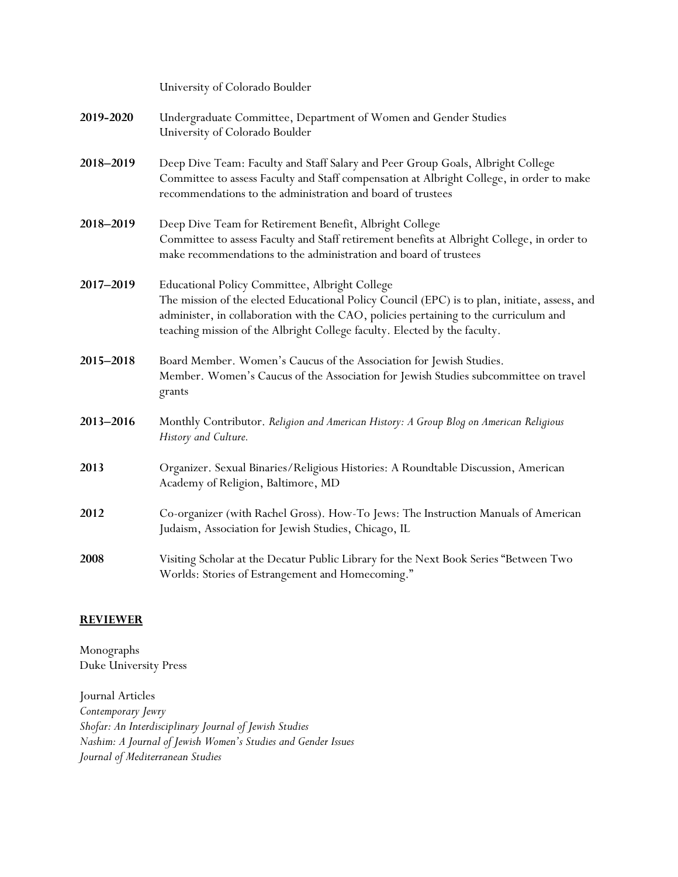University of Colorado Boulder

| 2019-2020 | Undergraduate Committee, Department of Women and Gender Studies |
|-----------|-----------------------------------------------------------------|
|           | University of Colorado Boulder                                  |

- **2018–2019** Deep Dive Team: Faculty and Staff Salary and Peer Group Goals, Albright College Committee to assess Faculty and Staff compensation at Albright College, in order to make recommendations to the administration and board of trustees
- **2018–2019** Deep Dive Team for Retirement Benefit, Albright College Committee to assess Faculty and Staff retirement benefits at Albright College, in order to make recommendations to the administration and board of trustees
- **2017–2019** Educational Policy Committee, Albright College The mission of the elected Educational Policy Council (EPC) is to plan, initiate, assess, and administer, in collaboration with the CAO, policies pertaining to the curriculum and teaching mission of the Albright College faculty. Elected by the faculty.
- **2015–2018** Board Member. Women's Caucus of the Association for Jewish Studies. Member. Women's Caucus of the Association for Jewish Studies subcommittee on travel grants
- **2013–2016** Monthly Contributor. *Religion and American History: A Group Blog on American Religious History and Culture.*
- **2013** Organizer. Sexual Binaries/Religious Histories: A Roundtable Discussion, American Academy of Religion, Baltimore, MD
- **2012** Co-organizer (with Rachel Gross). How-To Jews: The Instruction Manuals of American Judaism, Association for Jewish Studies, Chicago, IL
- **2008** Visiting Scholar at the Decatur Public Library for the Next Book Series "Between Two Worlds: Stories of Estrangement and Homecoming."

## **REVIEWER**

Monographs Duke University Press

Journal Articles *Contemporary Jewry Shofar: An Interdisciplinary Journal of Jewish Studies Nashim: A Journal of Jewish Women's Studies and Gender Issues Journal of Mediterranean Studies*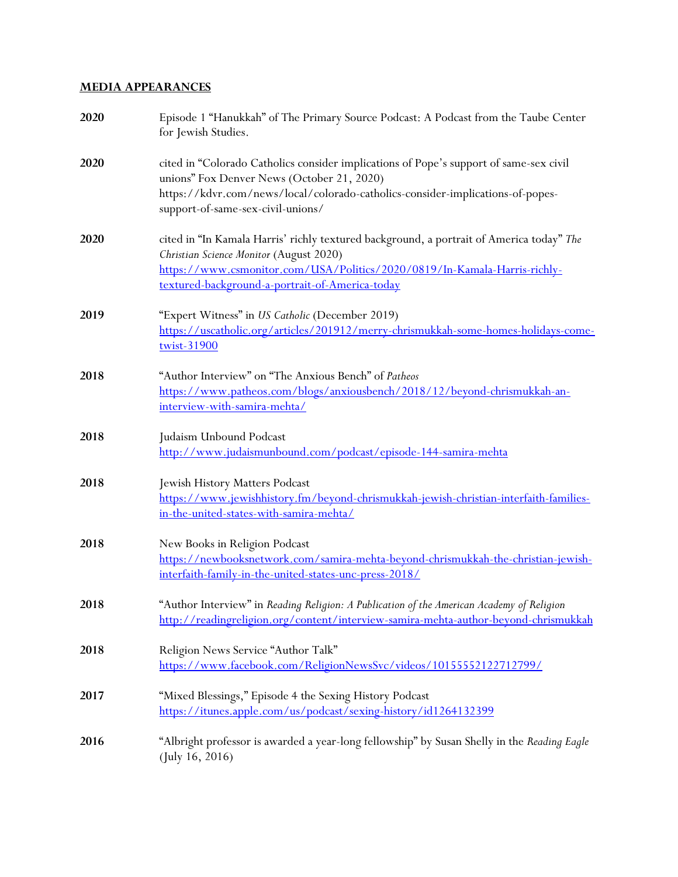## **MEDIA APPEARANCES**

| 2020 | Episode 1 "Hanukkah" of The Primary Source Podcast: A Podcast from the Taube Center<br>for Jewish Studies.                                                                                                                                                          |
|------|---------------------------------------------------------------------------------------------------------------------------------------------------------------------------------------------------------------------------------------------------------------------|
| 2020 | cited in "Colorado Catholics consider implications of Pope's support of same-sex civil<br>unions" Fox Denver News (October 21, 2020)<br>https://kdvr.com/news/local/colorado-catholics-consider-implications-of-popes-<br>support-of-same-sex-civil-unions/         |
| 2020 | cited in "In Kamala Harris' richly textured background, a portrait of America today" The<br>Christian Science Monitor (August 2020)<br>https://www.csmonitor.com/USA/Politics/2020/0819/In-Kamala-Harris-richly-<br>textured-background-a-portrait-of-America-today |
| 2019 | "Expert Witness" in US Catholic (December 2019)<br>https://uscatholic.org/articles/201912/merry-chrismukkah-some-homes-holidays-come-<br>twist-31900                                                                                                                |
| 2018 | "Author Interview" on "The Anxious Bench" of Patheos<br>https://www.patheos.com/blogs/anxiousbench/2018/12/beyond-chrismukkah-an-<br>interview-with-samira-mehta/                                                                                                   |
| 2018 | Judaism Unbound Podcast<br>http://www.judaismunbound.com/podcast/episode-144-samira-mehta                                                                                                                                                                           |
| 2018 | Jewish History Matters Podcast<br>https://www.jewishhistory.fm/beyond-chrismukkah-jewish-christian-interfaith-families-<br>in-the-united-states-with-samira-mehta/                                                                                                  |
| 2018 | New Books in Religion Podcast<br>https://newbooksnetwork.com/samira-mehta-beyond-chrismukkah-the-christian-jewish-<br>interfaith-family-in-the-united-states-unc-press-2018/                                                                                        |
| 2018 | "Author Interview" in Reading Religion: A Publication of the American Academy of Religion<br>http://readingreligion.org/content/interview-samira-mehta-author-beyond-chrismukkah                                                                                    |
| 2018 | Religion News Service "Author Talk"<br>https://www.facebook.com/ReligionNewsSvc/videos/10155552122712799/                                                                                                                                                           |
| 2017 | "Mixed Blessings," Episode 4 the Sexing History Podcast<br>https://itunes.apple.com/us/podcast/sexing-history/id1264132399                                                                                                                                          |
| 2016 | "Albright professor is awarded a year-long fellowship" by Susan Shelly in the Reading Eagle<br>(July 16, 2016)                                                                                                                                                      |